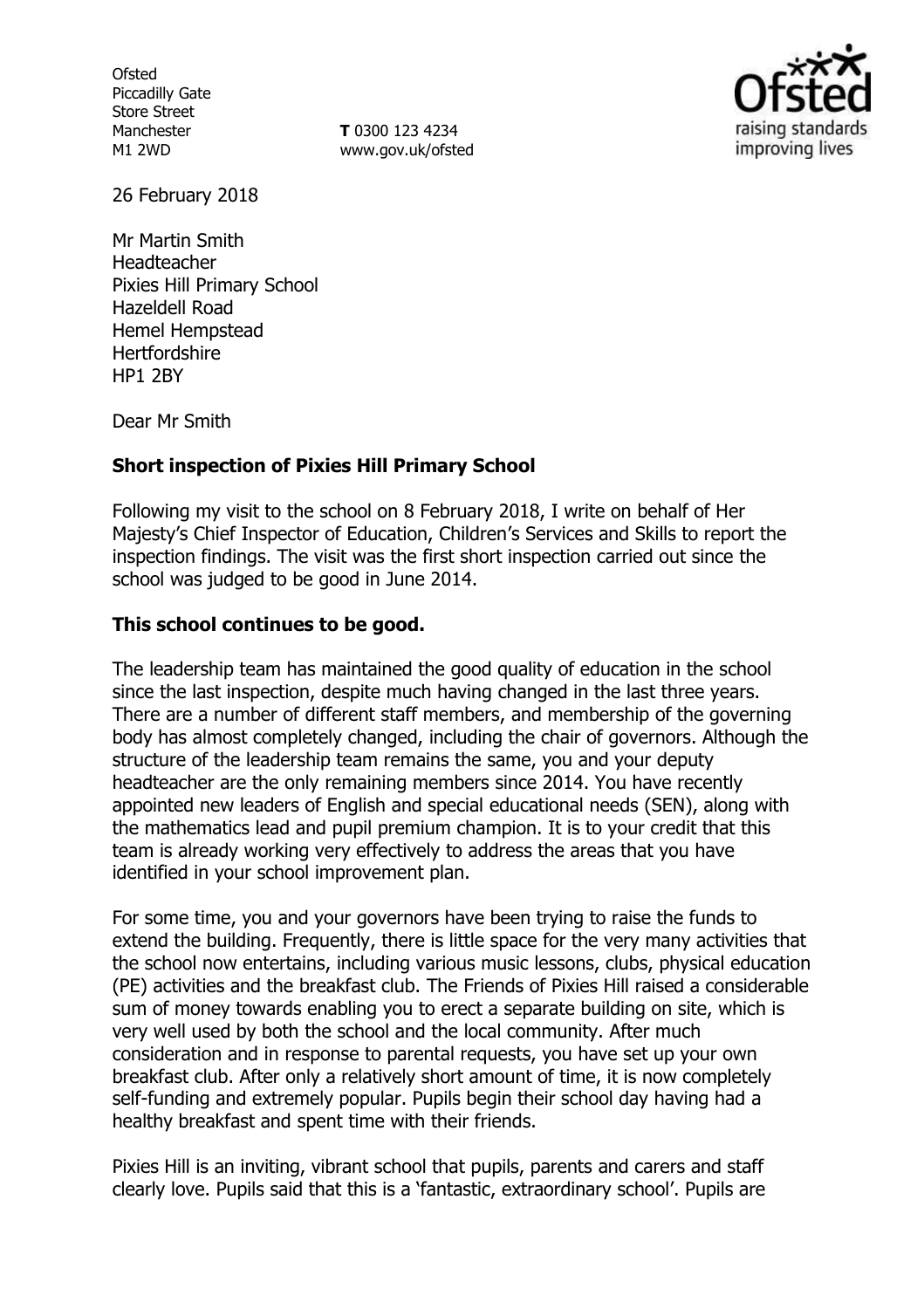**Ofsted** Piccadilly Gate Store Street Manchester M1 2WD

**T** 0300 123 4234 www.gov.uk/ofsted



26 February 2018

Mr Martin Smith Headteacher Pixies Hill Primary School Hazeldell Road Hemel Hempstead **Hertfordshire** HP1 2BY

Dear Mr Smith

# **Short inspection of Pixies Hill Primary School**

Following my visit to the school on 8 February 2018, I write on behalf of Her Majesty's Chief Inspector of Education, Children's Services and Skills to report the inspection findings. The visit was the first short inspection carried out since the school was judged to be good in June 2014.

## **This school continues to be good.**

The leadership team has maintained the good quality of education in the school since the last inspection, despite much having changed in the last three years. There are a number of different staff members, and membership of the governing body has almost completely changed, including the chair of governors. Although the structure of the leadership team remains the same, you and your deputy headteacher are the only remaining members since 2014. You have recently appointed new leaders of English and special educational needs (SEN), along with the mathematics lead and pupil premium champion. It is to your credit that this team is already working very effectively to address the areas that you have identified in your school improvement plan.

For some time, you and your governors have been trying to raise the funds to extend the building. Frequently, there is little space for the very many activities that the school now entertains, including various music lessons, clubs, physical education (PE) activities and the breakfast club. The Friends of Pixies Hill raised a considerable sum of money towards enabling you to erect a separate building on site, which is very well used by both the school and the local community. After much consideration and in response to parental requests, you have set up your own breakfast club. After only a relatively short amount of time, it is now completely self-funding and extremely popular. Pupils begin their school day having had a healthy breakfast and spent time with their friends.

Pixies Hill is an inviting, vibrant school that pupils, parents and carers and staff clearly love. Pupils said that this is a 'fantastic, extraordinary school'. Pupils are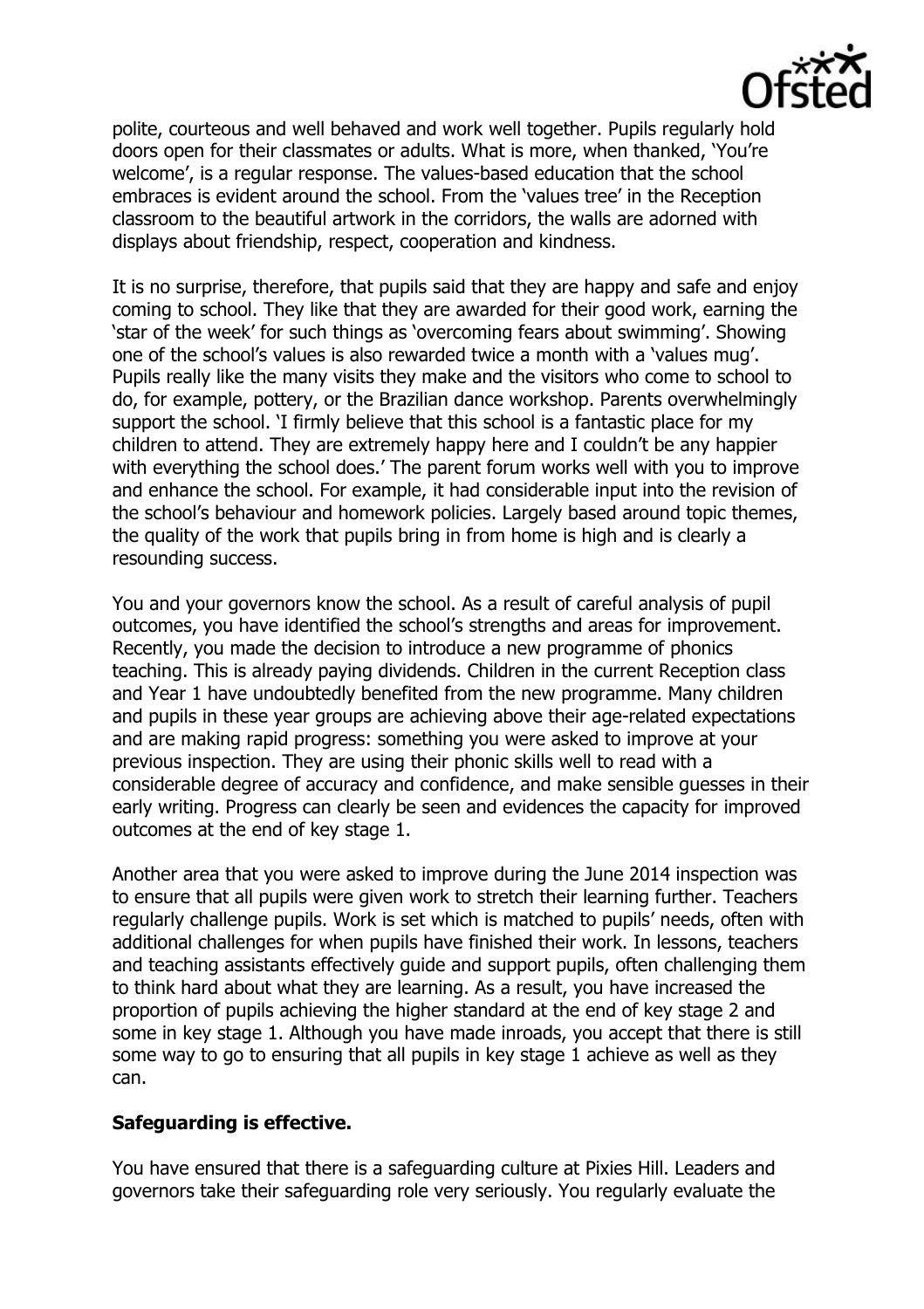

polite, courteous and well behaved and work well together. Pupils regularly hold doors open for their classmates or adults. What is more, when thanked, 'You're welcome', is a regular response. The values-based education that the school embraces is evident around the school. From the 'values tree' in the Reception classroom to the beautiful artwork in the corridors, the walls are adorned with displays about friendship, respect, cooperation and kindness.

It is no surprise, therefore, that pupils said that they are happy and safe and enjoy coming to school. They like that they are awarded for their good work, earning the 'star of the week' for such things as 'overcoming fears about swimming'. Showing one of the school's values is also rewarded twice a month with a 'values mug'. Pupils really like the many visits they make and the visitors who come to school to do, for example, pottery, or the Brazilian dance workshop. Parents overwhelmingly support the school. 'I firmly believe that this school is a fantastic place for my children to attend. They are extremely happy here and I couldn't be any happier with everything the school does.' The parent forum works well with you to improve and enhance the school. For example, it had considerable input into the revision of the school's behaviour and homework policies. Largely based around topic themes, the quality of the work that pupils bring in from home is high and is clearly a resounding success.

You and your governors know the school. As a result of careful analysis of pupil outcomes, you have identified the school's strengths and areas for improvement. Recently, you made the decision to introduce a new programme of phonics teaching. This is already paying dividends. Children in the current Reception class and Year 1 have undoubtedly benefited from the new programme. Many children and pupils in these year groups are achieving above their age-related expectations and are making rapid progress: something you were asked to improve at your previous inspection. They are using their phonic skills well to read with a considerable degree of accuracy and confidence, and make sensible guesses in their early writing. Progress can clearly be seen and evidences the capacity for improved outcomes at the end of key stage 1.

Another area that you were asked to improve during the June 2014 inspection was to ensure that all pupils were given work to stretch their learning further. Teachers regularly challenge pupils. Work is set which is matched to pupils' needs, often with additional challenges for when pupils have finished their work. In lessons, teachers and teaching assistants effectively guide and support pupils, often challenging them to think hard about what they are learning. As a result, you have increased the proportion of pupils achieving the higher standard at the end of key stage 2 and some in key stage 1. Although you have made inroads, you accept that there is still some way to go to ensuring that all pupils in key stage 1 achieve as well as they can.

## **Safeguarding is effective.**

You have ensured that there is a safeguarding culture at Pixies Hill. Leaders and governors take their safeguarding role very seriously. You regularly evaluate the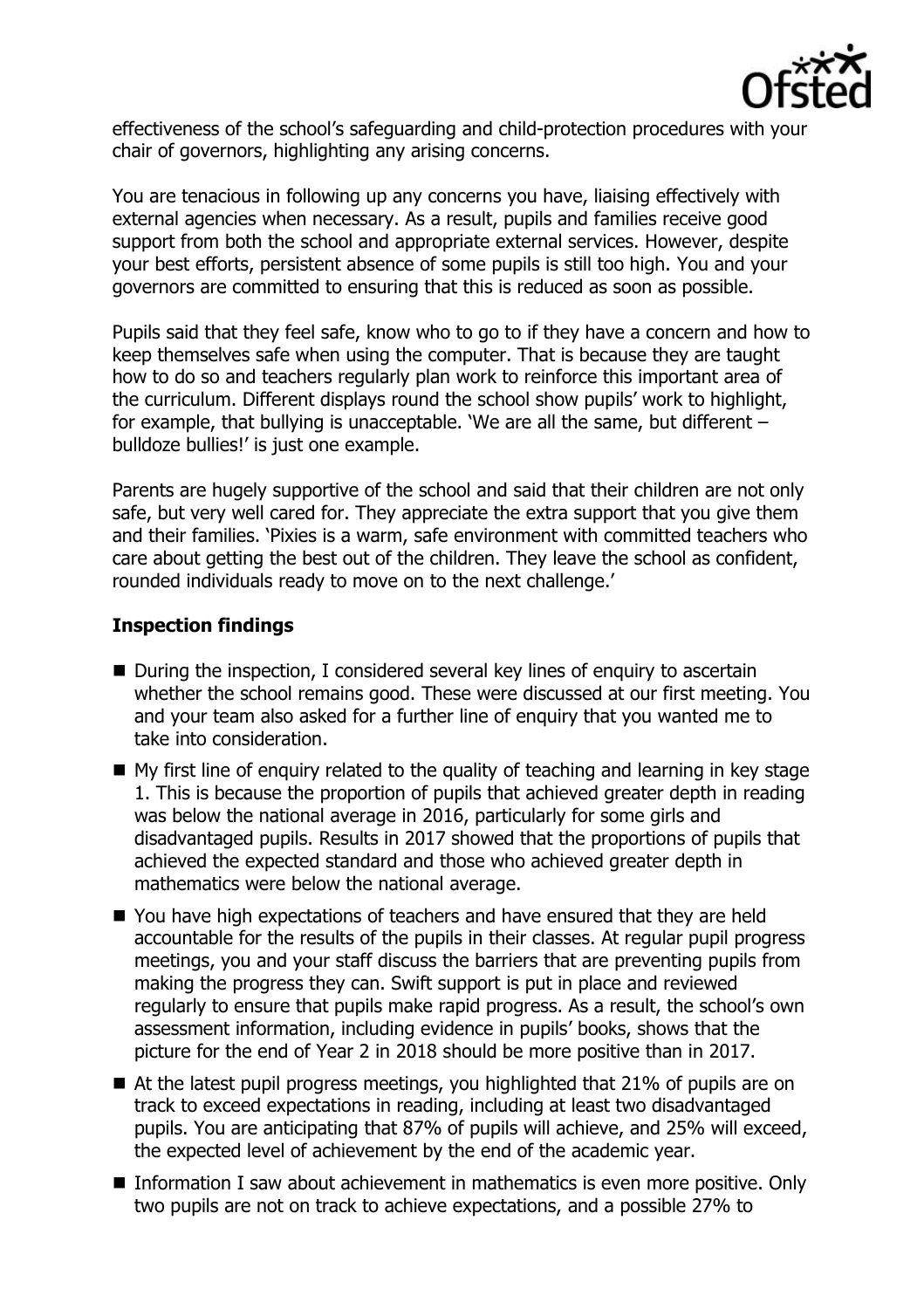

effectiveness of the school's safeguarding and child-protection procedures with your chair of governors, highlighting any arising concerns.

You are tenacious in following up any concerns you have, liaising effectively with external agencies when necessary. As a result, pupils and families receive good support from both the school and appropriate external services. However, despite your best efforts, persistent absence of some pupils is still too high. You and your governors are committed to ensuring that this is reduced as soon as possible.

Pupils said that they feel safe, know who to go to if they have a concern and how to keep themselves safe when using the computer. That is because they are taught how to do so and teachers regularly plan work to reinforce this important area of the curriculum. Different displays round the school show pupils' work to highlight, for example, that bullying is unacceptable. 'We are all the same, but different – bulldoze bullies!' is just one example.

Parents are hugely supportive of the school and said that their children are not only safe, but very well cared for. They appreciate the extra support that you give them and their families. 'Pixies is a warm, safe environment with committed teachers who care about getting the best out of the children. They leave the school as confident, rounded individuals ready to move on to the next challenge.'

## **Inspection findings**

- During the inspection, I considered several key lines of enquiry to ascertain whether the school remains good. These were discussed at our first meeting. You and your team also asked for a further line of enquiry that you wanted me to take into consideration.
- My first line of enquiry related to the quality of teaching and learning in key stage 1. This is because the proportion of pupils that achieved greater depth in reading was below the national average in 2016, particularly for some girls and disadvantaged pupils. Results in 2017 showed that the proportions of pupils that achieved the expected standard and those who achieved greater depth in mathematics were below the national average.
- You have high expectations of teachers and have ensured that they are held accountable for the results of the pupils in their classes. At regular pupil progress meetings, you and your staff discuss the barriers that are preventing pupils from making the progress they can. Swift support is put in place and reviewed regularly to ensure that pupils make rapid progress. As a result, the school's own assessment information, including evidence in pupils' books, shows that the picture for the end of Year 2 in 2018 should be more positive than in 2017.
- At the latest pupil progress meetings, you highlighted that 21% of pupils are on track to exceed expectations in reading, including at least two disadvantaged pupils. You are anticipating that 87% of pupils will achieve, and 25% will exceed, the expected level of achievement by the end of the academic year.
- Information I saw about achievement in mathematics is even more positive. Only two pupils are not on track to achieve expectations, and a possible 27% to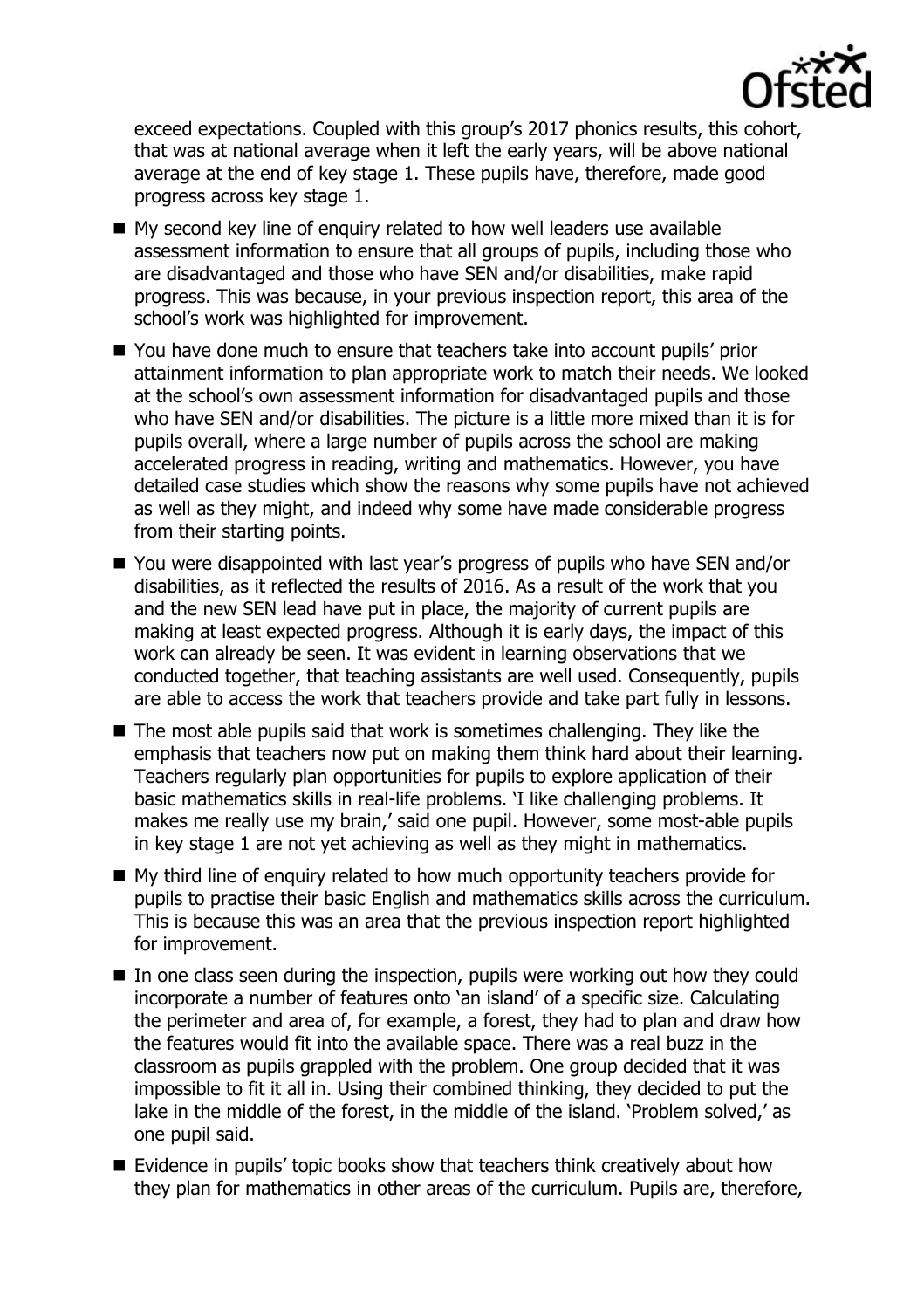

exceed expectations. Coupled with this group's 2017 phonics results, this cohort, that was at national average when it left the early years, will be above national average at the end of key stage 1. These pupils have, therefore, made good progress across key stage 1.

- My second key line of enquiry related to how well leaders use available assessment information to ensure that all groups of pupils, including those who are disadvantaged and those who have SEN and/or disabilities, make rapid progress. This was because, in your previous inspection report, this area of the school's work was highlighted for improvement.
- You have done much to ensure that teachers take into account pupils' prior attainment information to plan appropriate work to match their needs. We looked at the school's own assessment information for disadvantaged pupils and those who have SEN and/or disabilities. The picture is a little more mixed than it is for pupils overall, where a large number of pupils across the school are making accelerated progress in reading, writing and mathematics. However, you have detailed case studies which show the reasons why some pupils have not achieved as well as they might, and indeed why some have made considerable progress from their starting points.
- You were disappointed with last year's progress of pupils who have SEN and/or disabilities, as it reflected the results of 2016. As a result of the work that you and the new SEN lead have put in place, the majority of current pupils are making at least expected progress. Although it is early days, the impact of this work can already be seen. It was evident in learning observations that we conducted together, that teaching assistants are well used. Consequently, pupils are able to access the work that teachers provide and take part fully in lessons.
- The most able pupils said that work is sometimes challenging. They like the emphasis that teachers now put on making them think hard about their learning. Teachers regularly plan opportunities for pupils to explore application of their basic mathematics skills in real-life problems. 'I like challenging problems. It makes me really use my brain,' said one pupil. However, some most-able pupils in key stage 1 are not yet achieving as well as they might in mathematics.
- My third line of enquiry related to how much opportunity teachers provide for pupils to practise their basic English and mathematics skills across the curriculum. This is because this was an area that the previous inspection report highlighted for improvement.
- In one class seen during the inspection, pupils were working out how they could incorporate a number of features onto 'an island' of a specific size. Calculating the perimeter and area of, for example, a forest, they had to plan and draw how the features would fit into the available space. There was a real buzz in the classroom as pupils grappled with the problem. One group decided that it was impossible to fit it all in. Using their combined thinking, they decided to put the lake in the middle of the forest, in the middle of the island. 'Problem solved,' as one pupil said.
- $\blacksquare$  Evidence in pupils' topic books show that teachers think creatively about how they plan for mathematics in other areas of the curriculum. Pupils are, therefore,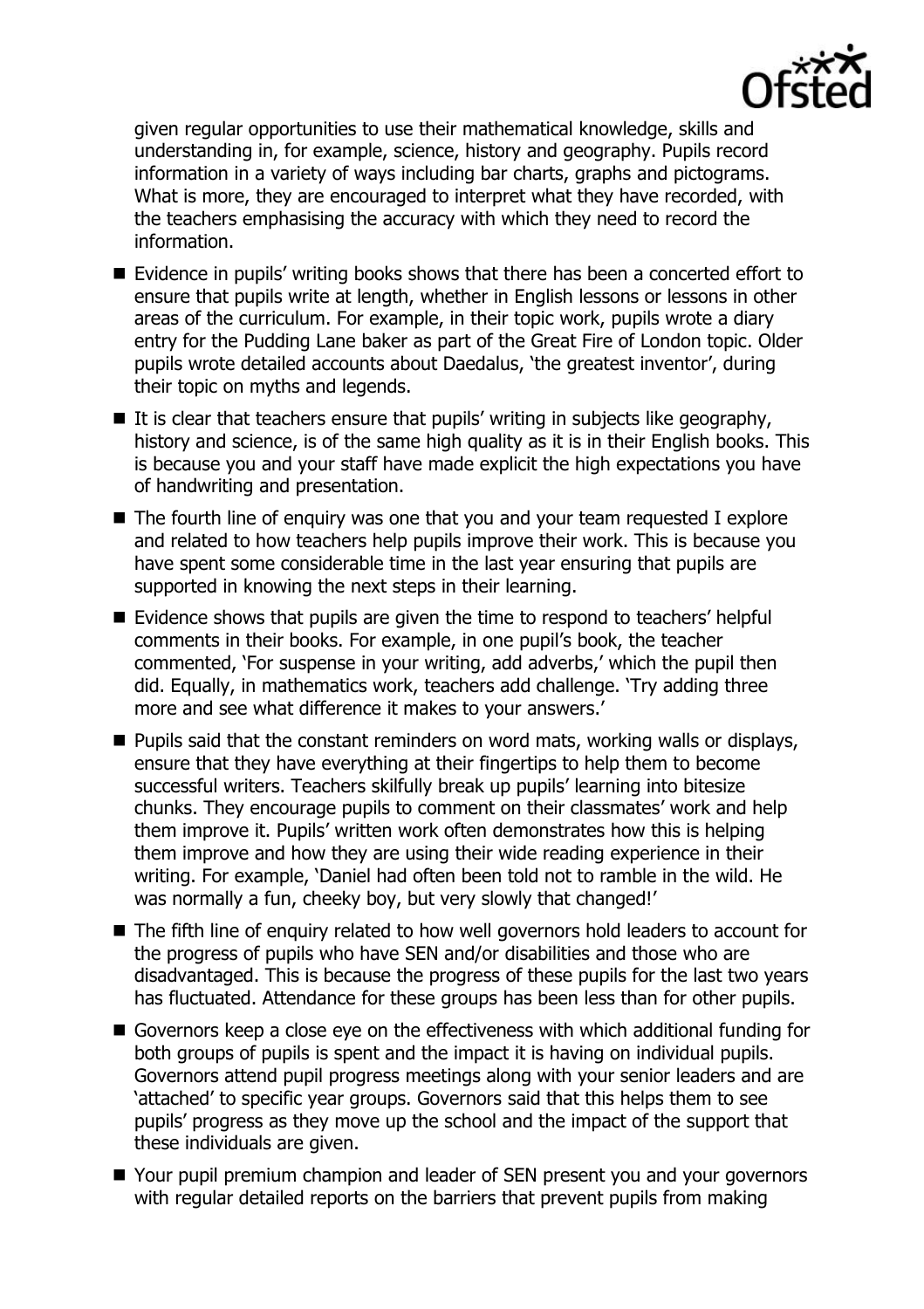

given regular opportunities to use their mathematical knowledge, skills and understanding in, for example, science, history and geography. Pupils record information in a variety of ways including bar charts, graphs and pictograms. What is more, they are encouraged to interpret what they have recorded, with the teachers emphasising the accuracy with which they need to record the information.

- Evidence in pupils' writing books shows that there has been a concerted effort to ensure that pupils write at length, whether in English lessons or lessons in other areas of the curriculum. For example, in their topic work, pupils wrote a diary entry for the Pudding Lane baker as part of the Great Fire of London topic. Older pupils wrote detailed accounts about Daedalus, 'the greatest inventor', during their topic on myths and legends.
- $\blacksquare$  It is clear that teachers ensure that pupils' writing in subjects like geography, history and science, is of the same high quality as it is in their English books. This is because you and your staff have made explicit the high expectations you have of handwriting and presentation.
- The fourth line of enguiry was one that you and your team requested I explore and related to how teachers help pupils improve their work. This is because you have spent some considerable time in the last year ensuring that pupils are supported in knowing the next steps in their learning.
- Evidence shows that pupils are given the time to respond to teachers' helpful comments in their books. For example, in one pupil's book, the teacher commented, 'For suspense in your writing, add adverbs,' which the pupil then did. Equally, in mathematics work, teachers add challenge. 'Try adding three more and see what difference it makes to your answers.'
- **Pupils said that the constant reminders on word mats, working walls or displays,** ensure that they have everything at their fingertips to help them to become successful writers. Teachers skilfully break up pupils' learning into bitesize chunks. They encourage pupils to comment on their classmates' work and help them improve it. Pupils' written work often demonstrates how this is helping them improve and how they are using their wide reading experience in their writing. For example, 'Daniel had often been told not to ramble in the wild. He was normally a fun, cheeky boy, but very slowly that changed!'
- The fifth line of enquiry related to how well governors hold leaders to account for the progress of pupils who have SEN and/or disabilities and those who are disadvantaged. This is because the progress of these pupils for the last two years has fluctuated. Attendance for these groups has been less than for other pupils.
- Governors keep a close eye on the effectiveness with which additional funding for both groups of pupils is spent and the impact it is having on individual pupils. Governors attend pupil progress meetings along with your senior leaders and are 'attached' to specific year groups. Governors said that this helps them to see pupils' progress as they move up the school and the impact of the support that these individuals are given.
- Your pupil premium champion and leader of SEN present you and your governors with regular detailed reports on the barriers that prevent pupils from making